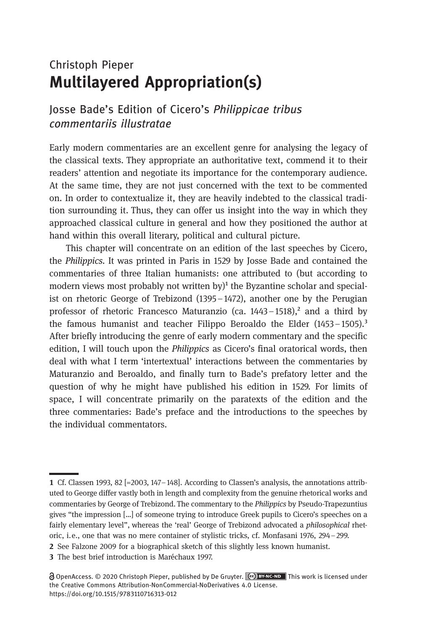## Christoph Pieper Multilayered Appropriation(s)

#### Josse Bade's Edition of Cicero's Philippicae tribus commentariis illustratae

Early modern commentaries are an excellent genre for analysing the legacy of the classical texts. They appropriate an authoritative text, commend it to their readers' attention and negotiate its importance for the contemporary audience. At the same time, they are not just concerned with the text to be commented on. In order to contextualize it, they are heavily indebted to the classical tradition surrounding it. Thus, they can offer us insight into the way in which they approached classical culture in general and how they positioned the author at hand within this overall literary, political and cultural picture.

This chapter will concentrate on an edition of the last speeches by Cicero, the Philippics. It was printed in Paris in 1529 by Josse Bade and contained the commentaries of three Italian humanists: one attributed to (but according to modern views most probably not written by $\mathcal{V}^1$  the Byzantine scholar and specialist on rhetoric George of Trebizond (1395–1472), another one by the Perugian professor of rhetoric Francesco Maturanzio (ca. 1443-1518),<sup>2</sup> and a third by the famous humanist and teacher Filippo Beroaldo the Elder  $(1453 - 1505)$ .<sup>3</sup> After briefly introducing the genre of early modern commentary and the specific edition, I will touch upon the Philippics as Cicero's final oratorical words, then deal with what I term 'intertextual' interactions between the commentaries by Maturanzio and Beroaldo, and finally turn to Bade's prefatory letter and the question of why he might have published his edition in 1529. For limits of space, I will concentrate primarily on the paratexts of the edition and the three commentaries: Bade's preface and the introductions to the speeches by the individual commentators.

Cf. Classen 1993, 82 [=2003, 147–148]. According to Classen's analysis, the annotations attributed to George differ vastly both in length and complexity from the genuine rhetorical works and commentaries by George of Trebizond. The commentary to the Philippics by Pseudo-Trapezuntius gives "the impression […] of someone trying to introduce Greek pupils to Cicero's speeches on a fairly elementary level", whereas the 'real' George of Trebizond advocated a *philosophical* rhetoric, i.e., one that was no mere container of stylistic tricks, cf. Monfasani 1976, 294–299.

<sup>2</sup> See Falzone 2009 for a biographical sketch of this slightly less known humanist.

<sup>3</sup> The best brief introduction is Maréchaux 1997.

OpenAccess. © 2020 Christoph Pieper, published by De Gruyter. This work is licensed under the Creative Commons Attribution-NonCommercial-NoDerivatives 4.0 License. https://doi.org/10.1515/9783110716313-012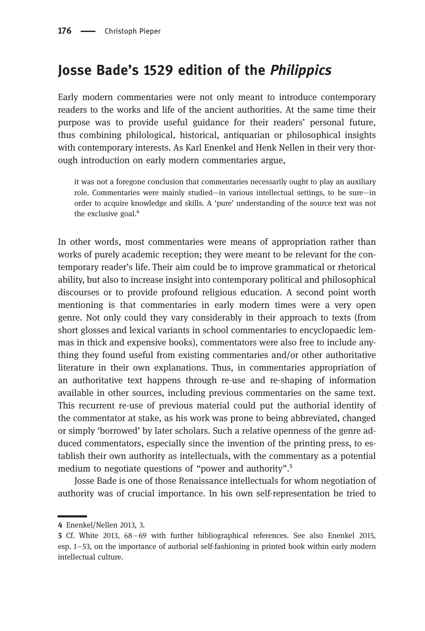## Josse Bade's 1529 edition of the Philippics

Early modern commentaries were not only meant to introduce contemporary readers to the works and life of the ancient authorities. At the same time their purpose was to provide useful guidance for their readers' personal future, thus combining philological, historical, antiquarian or philosophical insights with contemporary interests. As Karl Enenkel and Henk Nellen in their very thorough introduction on early modern commentaries argue,

it was not a foregone conclusion that commentaries necessarily ought to play an auxiliary role. Commentaries were mainly studied—in various intellectual settings, to be sure—in order to acquire knowledge and skills. A 'pure' understanding of the source text was not the exclusive goal.<sup>4</sup>

In other words, most commentaries were means of appropriation rather than works of purely academic reception; they were meant to be relevant for the contemporary reader's life. Their aim could be to improve grammatical or rhetorical ability, but also to increase insight into contemporary political and philosophical discourses or to provide profound religious education. A second point worth mentioning is that commentaries in early modern times were a very open genre. Not only could they vary considerably in their approach to texts (from short glosses and lexical variants in school commentaries to encyclopaedic lemmas in thick and expensive books), commentators were also free to include anything they found useful from existing commentaries and/or other authoritative literature in their own explanations. Thus, in commentaries appropriation of an authoritative text happens through re-use and re-shaping of information available in other sources, including previous commentaries on the same text. This recurrent re-use of previous material could put the authorial identity of the commentator at stake, as his work was prone to being abbreviated, changed or simply 'borrowed' by later scholars. Such a relative openness of the genre adduced commentators, especially since the invention of the printing press, to establish their own authority as intellectuals, with the commentary as a potential medium to negotiate questions of "power and authority".<sup>5</sup>

Josse Bade is one of those Renaissance intellectuals for whom negotiation of authority was of crucial importance. In his own self-representation he tried to

Enenkel/Nellen 2013, 3.

Cf. White 2013, 68–69 with further bibliographical references. See also Enenkel 2015, esp. 1–53, on the importance of authorial self-fashioning in printed book within early modern intellectual culture.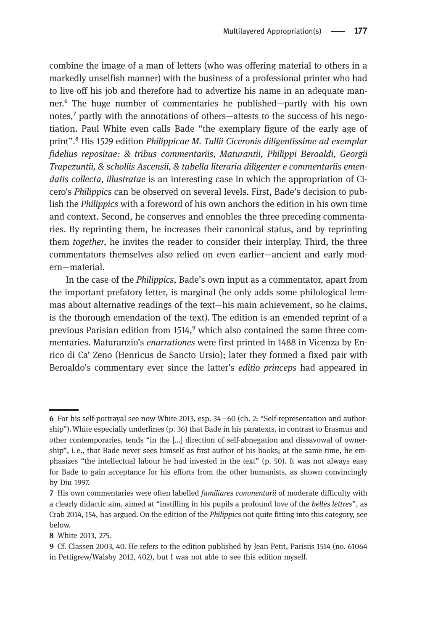combine the image of a man of letters (who was offering material to others in a markedly unselfish manner) with the business of a professional printer who had to live off his job and therefore had to advertize his name in an adequate manner.⁶ The huge number of commentaries he published—partly with his own notes,<sup>7</sup> partly with the annotations of others—attests to the success of his negotiation. Paul White even calls Bade "the exemplary figure of the early age of print".<sup>8</sup> His 1529 edition *Philippicae M. Tullii Ciceronis diligentissime ad exemplar* fidelius repositae: & tribus commentariis, Maturantii, Philippi Beroaldi, Georgii Trapezuntii, & scholiis Ascensii, & tabella literaria diligenter e commentariis emendatis collecta, illustratae is an interesting case in which the appropriation of Cicero's Philippics can be observed on several levels. First, Bade's decision to publish the Philippics with a foreword of his own anchors the edition in his own time and context. Second, he conserves and ennobles the three preceding commentaries. By reprinting them, he increases their canonical status, and by reprinting them together, he invites the reader to consider their interplay. Third, the three commentators themselves also relied on even earlier—ancient and early modern—material.

In the case of the Philippics, Bade's own input as a commentator, apart from the important prefatory letter, is marginal (he only adds some philological lemmas about alternative readings of the text—his main achievement, so he claims, is the thorough emendation of the text). The edition is an emended reprint of a previous Parisian edition from  $1514<sup>9</sup>$  which also contained the same three commentaries. Maturanzio's enarrationes were first printed in 1488 in Vicenza by Enrico di Ca' Zeno (Henricus de Sancto Ursio); later they formed a fixed pair with Beroaldo's commentary ever since the latter's editio princeps had appeared in

For his self-portrayal see now White 2013, esp. 34–60 (ch. 2: "Self-representation and authorship").White especially underlines (p. 36) that Bade in his paratexts, in contrast to Erasmus and other contemporaries, tends "in the […] direction of self-abnegation and dissavowal of ownership", i.e., that Bade never sees himself as first author of his books; at the same time, he emphasizes "the intellectual labour he had invested in the text" (p. 50). It was not always easy for Bade to gain acceptance for his efforts from the other humanists, as shown convincingly by Diu 1997.

<sup>7</sup> His own commentaries were often labelled *familiares commentarii* of moderate difficulty with a clearly didactic aim, aimed at "instilling in his pupils a profound love of the belles lettres", as Crab 2014, 154, has argued. On the edition of the Philippics not quite fitting into this category, see below.

White 2013, 275.

Cf. Classen 2003, 40. He refers to the edition published by Jean Petit, Parisiis 1514 (no. 61064 in Pettigrew/Walsby 2012, 402), but I was not able to see this edition myself.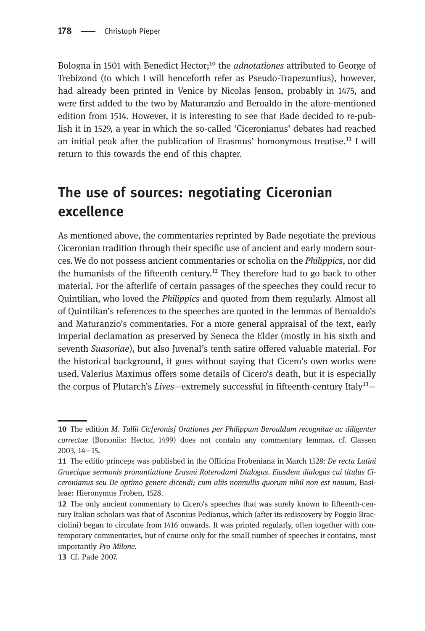Bologna in 1501 with Benedict Hector;<sup>10</sup> the *adnotationes* attributed to George of Trebizond (to which I will henceforth refer as Pseudo-Trapezuntius), however, had already been printed in Venice by Nicolas Jenson, probably in 1475, and were first added to the two by Maturanzio and Beroaldo in the afore-mentioned edition from 1514. However, it is interesting to see that Bade decided to re-publish it in 1529, a year in which the so-called 'Ciceronianus' debates had reached an initial peak after the publication of Erasmus' homonymous treatise.<sup>11</sup> I will return to this towards the end of this chapter.

# The use of sources: negotiating Ciceronian excellence

As mentioned above, the commentaries reprinted by Bade negotiate the previous Ciceronian tradition through their specific use of ancient and early modern sources.We do not possess ancient commentaries or scholia on the Philippics, nor did the humanists of the fifteenth century.<sup>12</sup> They therefore had to go back to other material. For the afterlife of certain passages of the speeches they could recur to Quintilian, who loved the Philippics and quoted from them regularly. Almost all of Quintilian's references to the speeches are quoted in the lemmas of Beroaldo's and Maturanzio's commentaries. For a more general appraisal of the text, early imperial declamation as preserved by Seneca the Elder (mostly in his sixth and seventh Suasoriae), but also Juvenal's tenth satire offered valuable material. For the historical background, it goes without saying that Cicero's own works were used. Valerius Maximus offers some details of Cicero's death, but it is especially the corpus of Plutarch's Lives-extremely successful in fifteenth-century Italy<sup>13</sup>-

<sup>10</sup> The edition M. Tullii Cic[eronis] Orationes per Philippum Beroaldum recognitae ac diligenter correctae (Bononiis: Hector, 1499) does not contain any commentary lemmas, cf. Classen 2003, 14–15.

<sup>11</sup> The editio princeps was published in the Officina Frobeniana in March 1528: De recta Latini Graecique sermonis pronuntiatione Erasmi Roterodami Dialogus. Eiusdem dialogus cui titulus Ciceronianus seu De optimo genere dicendi; cum aliis nonnullis quorum nihil non est nouum, Basileae: Hieronymus Froben, 1528.

The only ancient commentary to Cicero's speeches that was surely known to fifteenth-century Italian scholars was that of Asconius Pedianus, which (after its rediscovery by Poggio Bracciolini) began to circulate from 1416 onwards. It was printed regularly, often together with contemporary commentaries, but of course only for the small number of speeches it contains, most importantly Pro Milone.

<sup>13</sup> Cf. Pade 2007.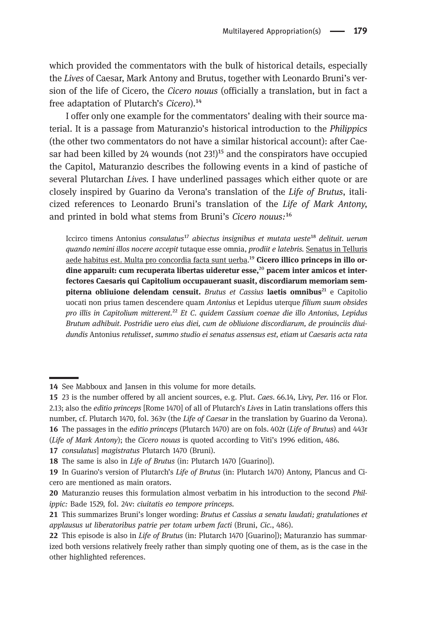which provided the commentators with the bulk of historical details, especially the Lives of Caesar, Mark Antony and Brutus, together with Leonardo Bruni's version of the life of Cicero, the Cicero nouus (officially a translation, but in fact a free adaptation of Plutarch's Cicero).<sup>14</sup>

I offer only one example for the commentators' dealing with their source material. It is a passage from Maturanzio's historical introduction to the Philippics (the other two commentators do not have a similar historical account): after Caesar had been killed by 24 wounds (not  $23!)^{15}$  and the conspirators have occupied the Capitol, Maturanzio describes the following events in a kind of pastiche of several Plutarchan Lives. I have underlined passages which either quote or are closely inspired by Guarino da Verona's translation of the Life of Brutus, italicized references to Leonardo Bruni's translation of the Life of Mark Antony, and printed in bold what stems from Bruni's Cicero nouus:<sup>16</sup>

Iccirco timens Antonius consulatus<sup>17</sup> abiectus insignibus et mutata ueste<sup>18</sup> delituit. uerum quando nemini illos nocere accepit tutaque esse omnia, prodiit e latebris. Senatus in Telluris aede habitus est. Multa pro concordia facta sunt uerba.<sup>19</sup> Cicero illico princeps in illo ordine apparuit: cum recuperata libertas uideretur esse, $^{20}$  pacem inter amicos et interfectores Caesaris qui Capitolium occupauerant suasit, discordiarum memoriam sempiterna obliuione delendam censuit. Brutus et Cassius laetis omnibus<sup>21</sup> e Capitolio uocati non prius tamen descendere quam Antonius et Lepidus uterque filium suum obsides pro illis in Capitolium mitterent.²² Et C. quidem Cassium coenae die illo Antonius, Lepidus Brutum adhibuit. Postridie uero eius diei, cum de obliuione discordiarum, de prouinciis diuidundis Antonius retulisset, summo studio ei senatus assensus est, etiam ut Caesaris acta rata

<sup>14</sup> See Mabboux and Jansen in this volume for more details.

23 is the number offered by all ancient sources, e.g. Plut. Caes. 66.14, Livy, Per. 116 or Flor. 2.13; also the editio princeps [Rome 1470] of all of Plutarch's Lives in Latin translations offers this number, cf. Plutarch 1470, fol. 363v (the Life of Caesar in the translation by Guarino da Verona). 16 The passages in the *editio princeps* (Plutarch 1470) are on fols. 402r (Life of Brutus) and 443r (Life of Mark Antony); the Cicero nouus is quoted according to Viti's 1996 edition, 486.

<sup>17</sup> consulatus] magistratus Plutarch 1470 (Bruni).

<sup>18</sup> The same is also in Life of Brutus (in: Plutarch 1470 [Guarino]).

<sup>19</sup> In Guarino's version of Plutarch's Life of Brutus (in: Plutarch 1470) Antony, Plancus and Cicero are mentioned as main orators.

<sup>20</sup> Maturanzio reuses this formulation almost verbatim in his introduction to the second Philippic: Bade 1529, fol. 24v: ciuitatis eo tempore princeps.

<sup>21</sup> This summarizes Bruni's longer wording: Brutus et Cassius a senatu laudati; gratulationes et applausus ut liberatoribus patrie per totam urbem facti (Bruni, Cic., 486).

<sup>22</sup> This episode is also in *Life of Brutus* (in: Plutarch 1470 [Guarino]); Maturanzio has summarized both versions relatively freely rather than simply quoting one of them, as is the case in the other highlighted references.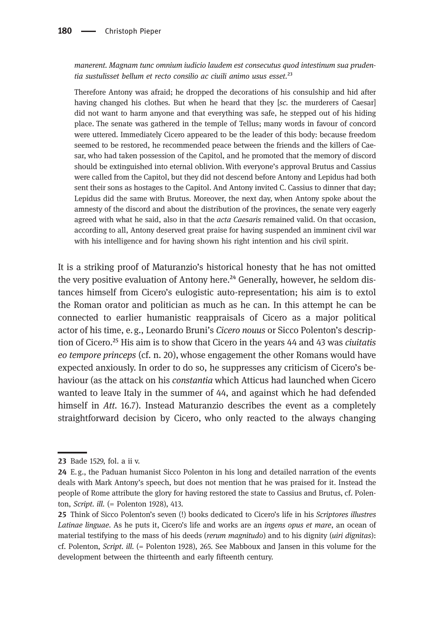manerent. Magnam tunc omnium iudicio laudem est consecutus quod intestinum sua prudentia sustulisset bellum et recto consilio ac ciuili animo usus esset.<sup>23</sup>

Therefore Antony was afraid; he dropped the decorations of his consulship and hid after having changed his clothes. But when he heard that they [sc. the murderers of Caesar] did not want to harm anyone and that everything was safe, he stepped out of his hiding place. The senate was gathered in the temple of Tellus; many words in favour of concord were uttered. Immediately Cicero appeared to be the leader of this body: because freedom seemed to be restored, he recommended peace between the friends and the killers of Caesar, who had taken possession of the Capitol, and he promoted that the memory of discord should be extinguished into eternal oblivion. With everyone's approval Brutus and Cassius were called from the Capitol, but they did not descend before Antony and Lepidus had both sent their sons as hostages to the Capitol. And Antony invited C. Cassius to dinner that day; Lepidus did the same with Brutus. Moreover, the next day, when Antony spoke about the amnesty of the discord and about the distribution of the provinces, the senate very eagerly agreed with what he said, also in that the acta Caesaris remained valid. On that occasion, according to all, Antony deserved great praise for having suspended an imminent civil war with his intelligence and for having shown his right intention and his civil spirit.

It is a striking proof of Maturanzio's historical honesty that he has not omitted the very positive evaluation of Antony here.<sup> $24$ </sup> Generally, however, he seldom distances himself from Cicero's eulogistic auto-representation; his aim is to extol the Roman orator and politician as much as he can. In this attempt he can be connected to earlier humanistic reappraisals of Cicero as a major political actor of his time, e.g., Leonardo Bruni's Cicero nouus or Sicco Polenton's description of Cicero.<sup>25</sup> His aim is to show that Cicero in the years  $44$  and  $43$  was *ciuitatis* eo tempore princeps (cf. n. 20), whose engagement the other Romans would have expected anxiously. In order to do so, he suppresses any criticism of Cicero's behaviour (as the attack on his constantia which Atticus had launched when Cicero wanted to leave Italy in the summer of 44, and against which he had defended himself in Att. 16.7). Instead Maturanzio describes the event as a completely straightforward decision by Cicero, who only reacted to the always changing

<sup>23</sup> Bade 1529, fol. a ii v.

E.g., the Paduan humanist Sicco Polenton in his long and detailed narration of the events deals with Mark Antony's speech, but does not mention that he was praised for it. Instead the people of Rome attribute the glory for having restored the state to Cassius and Brutus, cf. Polenton, Script. ill. (= Polenton 1928), 413.

Think of Sicco Polenton's seven (!) books dedicated to Cicero's life in his Scriptores illustres Latinae linguae. As he puts it, Cicero's life and works are an ingens opus et mare, an ocean of material testifying to the mass of his deeds (*rerum magnitudo*) and to his dignity (*uiri dignitas*): cf. Polenton, Script. ill. (= Polenton 1928), 265. See Mabboux and Jansen in this volume for the development between the thirteenth and early fifteenth century.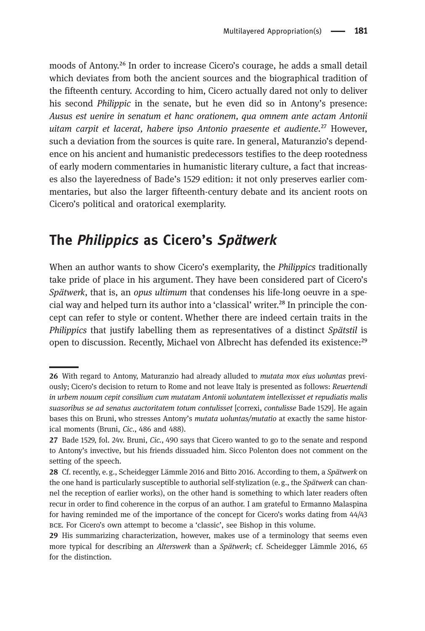moods of Antony.<sup>26</sup> In order to increase Cicero's courage, he adds a small detail which deviates from both the ancient sources and the biographical tradition of the fifteenth century. According to him, Cicero actually dared not only to deliver his second Philippic in the senate, but he even did so in Antony's presence: Ausus est uenire in senatum et hanc orationem, qua omnem ante actam Antonii uitam carpit et lacerat, habere ipso Antonio praesente et audiente.<sup>27</sup> However, such a deviation from the sources is quite rare. In general, Maturanzio's dependence on his ancient and humanistic predecessors testifies to the deep rootedness of early modern commentaries in humanistic literary culture, a fact that increases also the layeredness of Bade's 1529 edition: it not only preserves earlier commentaries, but also the larger fifteenth-century debate and its ancient roots on Cicero's political and oratorical exemplarity.

### The Philippics as Cicero's Spätwerk

When an author wants to show Cicero's exemplarity, the Philippics traditionally take pride of place in his argument. They have been considered part of Cicero's Spätwerk, that is, an opus ultimum that condenses his life-long oeuvre in a special way and helped turn its author into a 'classical' writer.<sup>28</sup> In principle the concept can refer to style or content. Whether there are indeed certain traits in the Philippics that justify labelling them as representatives of a distinct Spätstil is open to discussion. Recently, Michael von Albrecht has defended its existence:<sup>29</sup>

<sup>26</sup> With regard to Antony, Maturanzio had already alluded to *mutata mox eius uoluntas* previously; Cicero's decision to return to Rome and not leave Italy is presented as follows: Reuertendi in urbem nouum cepit consilium cum mutatam Antonii uoluntatem intellexisset et repudiatis malis suasoribus se ad senatus auctoritatem totum contulisset [correxi, contulisse Bade 1529]. He again bases this on Bruni, who stresses Antony's mutata uoluntas/mutatio at exactly the same historical moments (Bruni, Cic., 486 and 488).

<sup>27</sup> Bade 1529, fol. 24v. Bruni, Cic., 490 says that Cicero wanted to go to the senate and respond to Antony's invective, but his friends dissuaded him. Sicco Polenton does not comment on the setting of the speech.

<sup>28</sup> Cf. recently, e.g., Scheidegger Lämmle 2016 and Bitto 2016. According to them, a Spätwerk on the one hand is particularly susceptible to authorial self-stylization (e.g., the Spätwerk can channel the reception of earlier works), on the other hand is something to which later readers often recur in order to find coherence in the corpus of an author. I am grateful to Ermanno Malaspina for having reminded me of the importance of the concept for Cicero's works dating from 44/43 bce. For Cicero's own attempt to become a 'classic', see Bishop in this volume.

<sup>29</sup> His summarizing characterization, however, makes use of a terminology that seems even more typical for describing an Alterswerk than a Spätwerk; cf. Scheidegger Lämmle 2016, 65 for the distinction.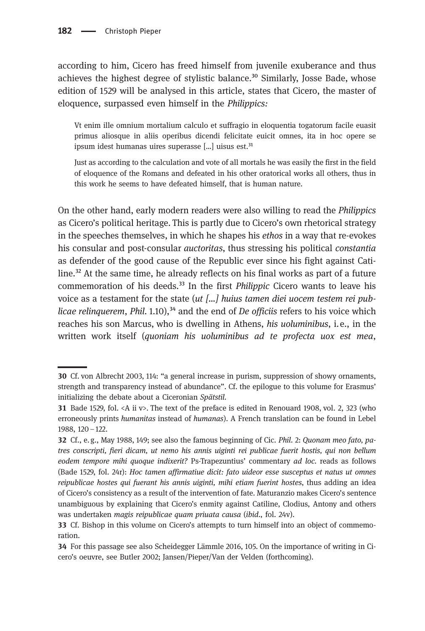according to him, Cicero has freed himself from juvenile exuberance and thus achieves the highest degree of stylistic balance. $30$  Similarly, Josse Bade, whose edition of 1529 will be analysed in this article, states that Cicero, the master of eloquence, surpassed even himself in the Philippics:

Vt enim ille omnium mortalium calculo et suffragio in eloquentia togatorum facile euasit primus aliosque in aliis operibus dicendi felicitate euicit omnes, ita in hoc opere se ipsum idest humanas uires superasse  $[...]$  uisus est.<sup>31</sup>

Just as according to the calculation and vote of all mortals he was easily the first in the field of eloquence of the Romans and defeated in his other oratorical works all others, thus in this work he seems to have defeated himself, that is human nature.

On the other hand, early modern readers were also willing to read the Philippics as Cicero's political heritage. This is partly due to Cicero's own rhetorical strategy in the speeches themselves, in which he shapes his ethos in a way that re-evokes his consular and post-consular auctoritas, thus stressing his political constantia as defender of the good cause of the Republic ever since his fight against Catiline.<sup>32</sup> At the same time, he already reflects on his final works as part of a future commemoration of his deeds.<sup>33</sup> In the first *Philippic* Cicero wants to leave his voice as a testament for the state  $(ut \ldots)$  huius tamen diei uocem testem rei publicae relinquerem, Phil. 1.10),<sup>34</sup> and the end of De officiis refers to his voice which reaches his son Marcus, who is dwelling in Athens, his uoluminibus, i.e., in the written work itself (quoniam his uoluminibus ad te profecta uox est mea,

Cf. von Albrecht 2003, 114: "a general increase in purism, suppression of showy ornaments, strength and transparency instead of abundance". Cf. the epilogue to this volume for Erasmus' initializing the debate about a Ciceronian Spätstil.

**<sup>31</sup>** Bade 1529, fol. <A ii v>. The text of the preface is edited in Renouard 1908, vol. 2, 323 (who erroneously prints humanitas instead of humanas). A French translation can be found in Lebel 1988, 120–122.

<sup>32</sup> Cf., e.g., May 1988, 149; see also the famous beginning of Cic. Phil. 2: Quonam meo fato, patres conscripti, fieri dicam, ut nemo his annis uiginti rei publicae fuerit hostis, qui non bellum eodem tempore mihi quoque indixerit? Ps-Trapezuntius' commentary ad loc. reads as follows (Bade 1529, fol. 24r): Hoc tamen affirmatiue dicit: fato uideor esse susceptus et natus ut omnes reipublicae hostes qui fuerant his annis uiginti, mihi etiam fuerint hostes, thus adding an idea of Cicero's consistency as a result of the intervention of fate. Maturanzio makes Cicero's sentence unambiguous by explaining that Cicero's enmity against Catiline, Clodius, Antony and others was undertaken magis reipublicae quam priuata causa (ibid., fol. 24v).

<sup>33</sup> Cf. Bishop in this volume on Cicero's attempts to turn himself into an object of commemoration.

For this passage see also Scheidegger Lämmle 2016, 105. On the importance of writing in Cicero's oeuvre, see Butler 2002; Jansen/Pieper/Van der Velden (forthcoming).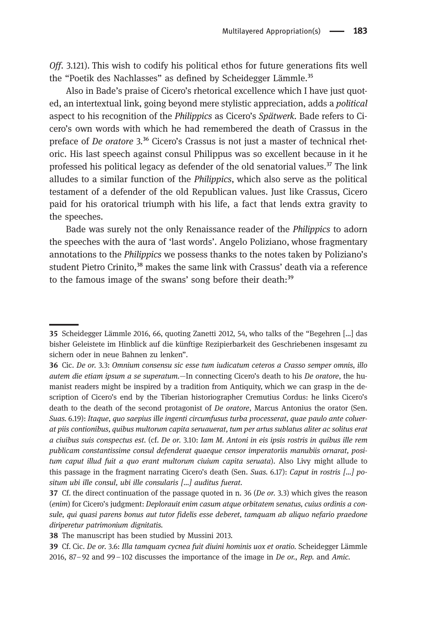Off. 3.121). This wish to codify his political ethos for future generations fits well the "Poetik des Nachlasses" as defined by Scheidegger Lämmle.<sup>35</sup>

Also in Bade's praise of Cicero's rhetorical excellence which I have just quoted, an intertextual link, going beyond mere stylistic appreciation, adds a political aspect to his recognition of the Philippics as Cicero's Spätwerk. Bade refers to Cicero's own words with which he had remembered the death of Crassus in the preface of *De oratore*  $3^{36}$  Cicero's Crassus is not just a master of technical rhetoric. His last speech against consul Philippus was so excellent because in it he professed his political legacy as defender of the old senatorial values. $37$  The link alludes to a similar function of the Philippics, which also serve as the political testament of a defender of the old Republican values. Just like Crassus, Cicero paid for his oratorical triumph with his life, a fact that lends extra gravity to the speeches.

Bade was surely not the only Renaissance reader of the Philippics to adorn the speeches with the aura of 'last words'. Angelo Poliziano, whose fragmentary annotations to the Philippics we possess thanks to the notes taken by Poliziano's student Pietro Crinito,<sup>38</sup> makes the same link with Crassus' death via a reference to the famous image of the swans' song before their death: $39$ 

Scheidegger Lämmle 2016, 66, quoting Zanetti 2012, 54, who talks of the "Begehren […] das bisher Geleistete im Hinblick auf die künftige Rezipierbarkeit des Geschriebenen insgesamt zu sichern oder in neue Bahnen zu lenken".

Cic. De or. 3.3: Omnium consensu sic esse tum iudicatum ceteros a Crasso semper omnis, illo autem die etiam ipsum a se superatum.—In connecting Cicero's death to his De oratore, the humanist readers might be inspired by a tradition from Antiquity, which we can grasp in the description of Cicero's end by the Tiberian historiographer Cremutius Cordus: he links Cicero's death to the death of the second protagonist of De oratore, Marcus Antonius the orator (Sen. Suas. 6.19): Itaque, quo saepius ille ingenti circumfusus turba processerat, quae paulo ante coluerat piis contionibus, quibus multorum capita seruauerat, tum per artus sublatus aliter ac solitus erat a ciuibus suis conspectus est. (cf. De or. 3.10: Iam M. Antoni in eis ipsis rostris in quibus ille rem publicam constantissime consul defenderat quaeque censor imperatoriis manubiis ornarat, positum caput illud fuit a quo erant multorum ciuium capita seruata). Also Livy might allude to this passage in the fragment narrating Cicero's death (Sen. Suas. 6.17): Caput in rostris […] positum ubi ille consul, ubi ille consularis […] auditus fuerat.

<sup>37</sup> Cf. the direct continuation of the passage quoted in n. 36 (De or. 3.3) which gives the reason (enim) for Cicero's judgment: Deplorauit enim casum atque orbitatem senatus, cuius ordinis a consule, qui quasi parens bonus aut tutor fidelis esse deberet, tamquam ab aliquo nefario praedone diriperetur patrimonium dignitatis.

<sup>38</sup> The manuscript has been studied by Mussini 2013.

<sup>39</sup> Cf. Cic. De or. 3.6: Illa tamquam cycnea fuit diuini hominis uox et oratio. Scheidegger Lämmle 2016,  $87 - 92$  and  $99 - 102$  discusses the importance of the image in De or., Rep. and Amic.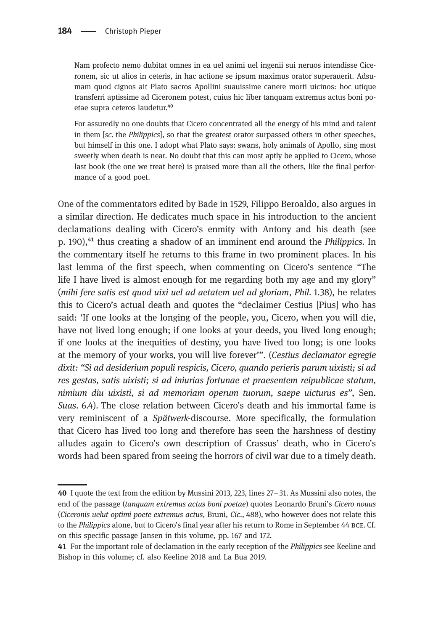Nam profecto nemo dubitat omnes in ea uel animi uel ingenii sui neruos intendisse Ciceronem, sic ut alios in ceteris, in hac actione se ipsum maximus orator superauerit. Adsumam quod cignos ait Plato sacros Apollini suauissime canere morti uicinos: hoc utique transferri aptissime ad Ciceronem potest, cuius hic liber tanquam extremus actus boni poetae supra ceteros laudetur.<sup>40</sup>

For assuredly no one doubts that Cicero concentrated all the energy of his mind and talent in them [sc. the Philippics], so that the greatest orator surpassed others in other speeches, but himself in this one. I adopt what Plato says: swans, holy animals of Apollo, sing most sweetly when death is near. No doubt that this can most aptly be applied to Cicero, whose last book (the one we treat here) is praised more than all the others, like the final performance of a good poet.

One of the commentators edited by Bade in 1529, Filippo Beroaldo, also argues in a similar direction. He dedicates much space in his introduction to the ancient declamations dealing with Cicero's enmity with Antony and his death (see p. 190),<sup>41</sup> thus creating a shadow of an imminent end around the *Philippics*. In the commentary itself he returns to this frame in two prominent places. In his last lemma of the first speech, when commenting on Cicero's sentence "The life I have lived is almost enough for me regarding both my age and my glory" (mihi fere satis est quod uixi uel ad aetatem uel ad gloriam, Phil. 1.38), he relates this to Cicero's actual death and quotes the "declaimer Cestius [Pius] who has said: 'If one looks at the longing of the people, you, Cicero, when you will die, have not lived long enough; if one looks at your deeds, you lived long enough; if one looks at the inequities of destiny, you have lived too long; is one looks at the memory of your works, you will live forever'". (Cestius declamator egregie dixit: "Si ad desiderium populi respicis, Cicero, quando perieris parum uixisti; si ad res gestas, satis uixisti; si ad iniurias fortunae et praesentem reipublicae statum, nimium diu uixisti, si ad memoriam operum tuorum, saepe uicturus es", Sen. Suas. 6.4). The close relation between Cicero's death and his immortal fame is very reminiscent of a Spätwerk-discourse. More specifically, the formulation that Cicero has lived too long and therefore has seen the harshness of destiny alludes again to Cicero's own description of Crassus' death, who in Cicero's words had been spared from seeing the horrors of civil war due to a timely death.

I quote the text from the edition by Mussini 2013, 223, lines 27–31. As Mussini also notes, the end of the passage (tanquam extremus actus boni poetae) quotes Leonardo Bruni's Cicero nouus (Ciceronis uelut optimi poete extremus actus, Bruni, Cic., 488), who however does not relate this to the Philippics alone, but to Cicero's final year after his return to Rome in September 44 bce. Cf. on this specific passage Jansen in this volume, pp. 167 and 172.

<sup>41</sup> For the important role of declamation in the early reception of the *Philippics* see Keeline and Bishop in this volume; cf. also Keeline 2018 and La Bua 2019.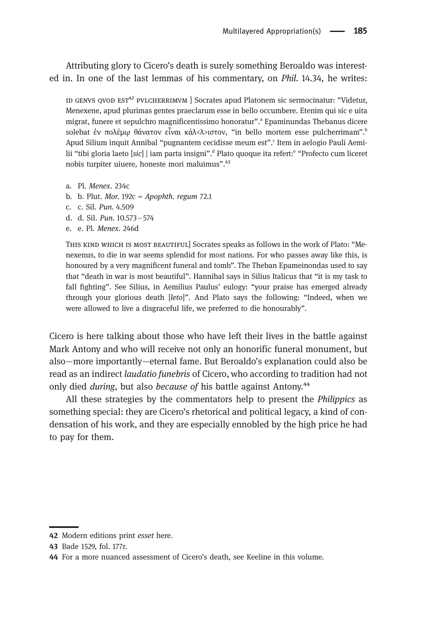Attributing glory to Cicero's death is surely something Beroaldo was interested in. In one of the last lemmas of his commentary, on Phil. 14.34, he writes:

ID GENVS QVOD EST<sup>42</sup> PVLCHERRIMVM | Socrates apud Platonem sic sermocinatur: "Videtur, Menexene, apud plurimas gentes praeclarum esse in bello occumbere. Etenim qui sic e uita migrat, funere et sepulchro magnificentissimo honoratur". <sup>a</sup> Epaminundas Thebanus dicere solebat ἐν πολέμῳ θάνατον εἶναι κάλ<λ>ιστον, "in bello mortem esse pulcherrimam". b Apud Silium inquit Annibal "pugnantem cecidisse meum est". c Item in aelogio Pauli Aemilii "tibi gloria laeto [*sic*] | iam parta insigni".<sup>d</sup> Plato quoque ita refert:<sup>e</sup> "Profecto cum liceret nobis turpiter uiuere, honeste mori maluimus".<sup>43</sup>

- a. Pl. Menex. 234c
- b. b. Plut. Mor.  $192c = *Appoth*$ . regum 72.1
- c. c. Sil. Pun. 4.509
- d. d. Sil. Pun. 10.573–574
- e. e. Pl. Menex. 246d

This kind which is most beautiful] Socrates speaks as follows in the work of Plato: "Menexenus, to die in war seems splendid for most nations. For who passes away like this, is honoured by a very magnificent funeral and tomb". The Theban Epameinondas used to say that "death in war is most beautiful". Hannibal says in Silius Italicus that "it is my task to fall fighting". See Silius, in Aemilius Paulus' eulogy: "your praise has emerged already through your glorious death [leto]". And Plato says the following: "Indeed, when we were allowed to live a disgraceful life, we preferred to die honourably".

Cicero is here talking about those who have left their lives in the battle against Mark Antony and who will receive not only an honorific funeral monument, but also—more importantly—eternal fame. But Beroaldo's explanation could also be read as an indirect laudatio funebris of Cicero, who according to tradition had not only died *during*, but also *because of* his battle against Antony.<sup>44</sup>

All these strategies by the commentators help to present the *Philippics* as something special: they are Cicero's rhetorical and political legacy, a kind of condensation of his work, and they are especially ennobled by the high price he had to pay for them.

<sup>42</sup> Modern editions print esset here.

<sup>43</sup> Bade 1529, fol. 177r.

For a more nuanced assessment of Cicero's death, see Keeline in this volume.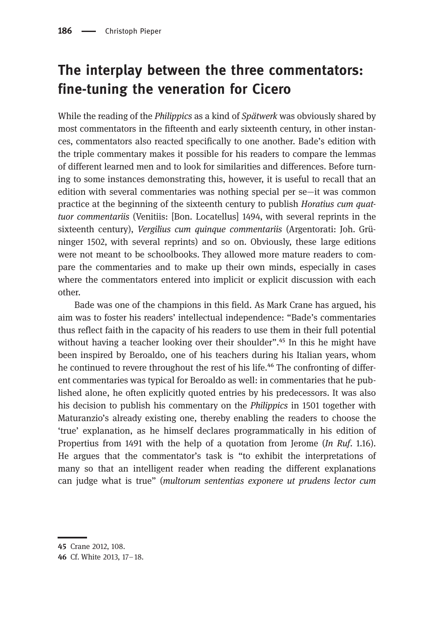# The interplay between the three commentators: fine-tuning the veneration for Cicero

While the reading of the *Philippics* as a kind of *Spätwerk* was obviously shared by most commentators in the fifteenth and early sixteenth century, in other instances, commentators also reacted specifically to one another. Bade's edition with the triple commentary makes it possible for his readers to compare the lemmas of different learned men and to look for similarities and differences. Before turning to some instances demonstrating this, however, it is useful to recall that an edition with several commentaries was nothing special per se—it was common practice at the beginning of the sixteenth century to publish Horatius cum quattuor commentariis (Venitiis: [Bon. Locatellus] 1494, with several reprints in the sixteenth century), Vergilius cum quinque commentariis (Argentorati: Joh. Grüninger 1502, with several reprints) and so on. Obviously, these large editions were not meant to be schoolbooks. They allowed more mature readers to compare the commentaries and to make up their own minds, especially in cases where the commentators entered into implicit or explicit discussion with each other.

Bade was one of the champions in this field. As Mark Crane has argued, his aim was to foster his readers' intellectual independence: "Bade's commentaries thus reflect faith in the capacity of his readers to use them in their full potential without having a teacher looking over their shoulder". $^{45}$  In this he might have been inspired by Beroaldo, one of his teachers during his Italian years, whom he continued to revere throughout the rest of his life.<sup>46</sup> The confronting of different commentaries was typical for Beroaldo as well: in commentaries that he published alone, he often explicitly quoted entries by his predecessors. It was also his decision to publish his commentary on the Philippics in 1501 together with Maturanzio's already existing one, thereby enabling the readers to choose the 'true' explanation, as he himself declares programmatically in his edition of Propertius from 1491 with the help of a quotation from Jerome (In Ruf. 1.16). He argues that the commentator's task is "to exhibit the interpretations of many so that an intelligent reader when reading the different explanations can judge what is true" (multorum sententias exponere ut prudens lector cum

<sup>45</sup> Crane 2012, 108.

<sup>46</sup> Cf. White 2013, 17-18.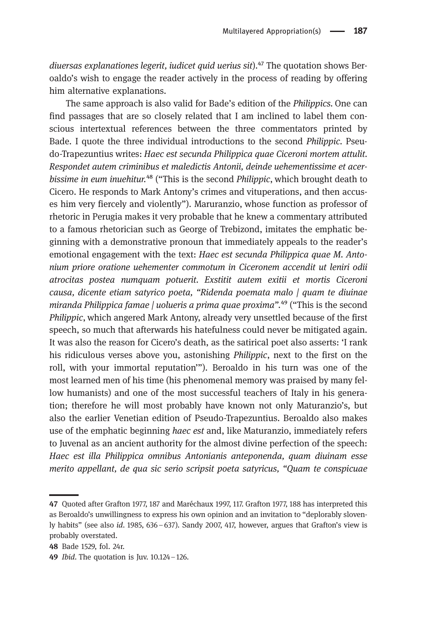diuersas explanationes legerit, iudicet quid uerius sit). $47$  The quotation shows Beroaldo's wish to engage the reader actively in the process of reading by offering him alternative explanations.

The same approach is also valid for Bade's edition of the Philippics. One can find passages that are so closely related that I am inclined to label them conscious intertextual references between the three commentators printed by Bade. I quote the three individual introductions to the second Philippic. Pseudo-Trapezuntius writes: Haec est secunda Philippica quae Ciceroni mortem attulit. Respondet autem criminibus et maledictis Antonii, deinde uehementissime et acerbissime in eum inuehitur.<sup>48</sup> ("This is the second *Philippic*, which brought death to Cicero. He responds to Mark Antony's crimes and vituperations, and then accuses him very fiercely and violently"). Maruranzio, whose function as professor of rhetoric in Perugia makes it very probable that he knew a commentary attributed to a famous rhetorician such as George of Trebizond, imitates the emphatic beginning with a demonstrative pronoun that immediately appeals to the reader's emotional engagement with the text: Haec est secunda Philippica quae M. Antonium priore oratione uehementer commotum in Ciceronem accendit ut leniri odii atrocitas postea numquam potuerit. Exstitit autem exitii et mortis Ciceroni causa, dicente etiam satyrico poeta, "Ridenda poemata malo | quam te diuinae miranda Philippica famae | uolueris a prima quae proxima". $49$  ("This is the second Philippic, which angered Mark Antony, already very unsettled because of the first speech, so much that afterwards his hatefulness could never be mitigated again. It was also the reason for Cicero's death, as the satirical poet also asserts: 'I rank his ridiculous verses above you, astonishing Philippic, next to the first on the roll, with your immortal reputation'"). Beroaldo in his turn was one of the most learned men of his time (his phenomenal memory was praised by many fellow humanists) and one of the most successful teachers of Italy in his generation; therefore he will most probably have known not only Maturanzio's, but also the earlier Venetian edition of Pseudo-Trapezuntius. Beroaldo also makes use of the emphatic beginning *haec est* and, like Maturanzio, immediately refers to Juvenal as an ancient authority for the almost divine perfection of the speech: Haec est illa Philippica omnibus Antonianis anteponenda, quam diuinam esse merito appellant, de qua sic serio scripsit poeta satyricus, "Quam te conspicuae

<sup>47</sup> Quoted after Grafton 1977, 187 and Maréchaux 1997, 117. Grafton 1977, 188 has interpreted this as Beroaldo's unwillingness to express his own opinion and an invitation to "deplorably slovenly habits" (see also id. 1985, 636–637). Sandy 2007, 417, however, argues that Grafton's view is probably overstated.

<sup>48</sup> Bade 1529, fol. 24r.

<sup>49</sup> *Ibid*. The quotation is Juv. 10.124 - 126.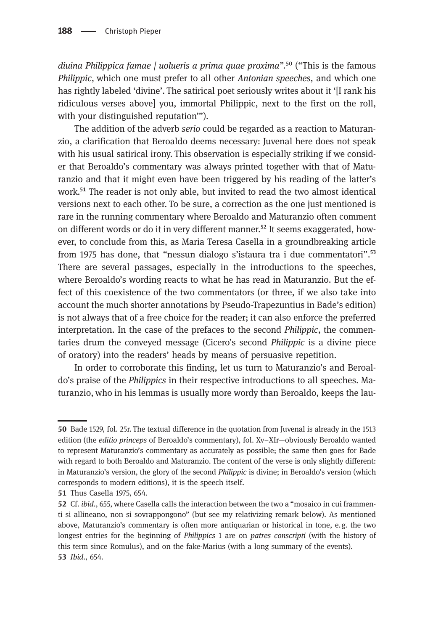diuina Philippica famae  $\ell$  uolueris a prima quae proxima".<sup>50</sup> ("This is the famous Philippic, which one must prefer to all other Antonian speeches, and which one has rightly labeled 'divine'. The satirical poet seriously writes about it '[I rank his ridiculous verses above] you, immortal Philippic, next to the first on the roll, with your distinguished reputation'").

The addition of the adverb serio could be regarded as a reaction to Maturanzio, a clarification that Beroaldo deems necessary: Juvenal here does not speak with his usual satirical irony. This observation is especially striking if we consider that Beroaldo's commentary was always printed together with that of Maturanzio and that it might even have been triggered by his reading of the latter's work.<sup>51</sup> The reader is not only able, but invited to read the two almost identical versions next to each other. To be sure, a correction as the one just mentioned is rare in the running commentary where Beroaldo and Maturanzio often comment on different words or do it in very different manner.<sup>52</sup> It seems exaggerated, however, to conclude from this, as Maria Teresa Casella in a groundbreaking article from 1975 has done, that "nessun dialogo s'istaura tra i due commentatori".<sup>53</sup> There are several passages, especially in the introductions to the speeches, where Beroaldo's wording reacts to what he has read in Maturanzio. But the effect of this coexistence of the two commentators (or three, if we also take into account the much shorter annotations by Pseudo-Trapezuntius in Bade's edition) is not always that of a free choice for the reader; it can also enforce the preferred interpretation. In the case of the prefaces to the second Philippic, the commentaries drum the conveyed message (Cicero's second Philippic is a divine piece of oratory) into the readers' heads by means of persuasive repetition.

In order to corroborate this finding, let us turn to Maturanzio's and Beroaldo's praise of the Philippics in their respective introductions to all speeches. Maturanzio, who in his lemmas is usually more wordy than Beroaldo, keeps the lau-

<sup>50</sup> Bade 1529, fol. 25r. The textual difference in the quotation from Juvenal is already in the 1513 edition (the editio princeps of Beroaldo's commentary), fol. Xv–XIr—obviously Beroaldo wanted to represent Maturanzio's commentary as accurately as possible; the same then goes for Bade with regard to both Beroaldo and Maturanzio. The content of the verse is only slightly different: in Maturanzio's version, the glory of the second Philippic is divine; in Beroaldo's version (which corresponds to modern editions), it is the speech itself.

**<sup>51</sup>** Thus Casella 1975, 654.

<sup>52</sup> Cf. *ibid.*, 655, where Casella calls the interaction between the two a "mosaico in cui frammenti si allineano, non si sovrappongono" (but see my relativizing remark below). As mentioned above, Maturanzio's commentary is often more antiquarian or historical in tone, e.g. the two longest entries for the beginning of Philippics 1 are on patres conscripti (with the history of this term since Romulus), and on the fake-Marius (with a long summary of the events). 53 *Ibid.*, 654.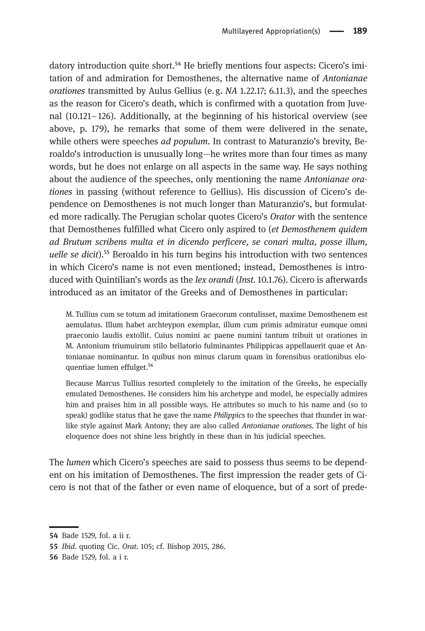datory introduction quite short.<sup>54</sup> He briefly mentions four aspects: Cicero's imitation of and admiration for Demosthenes, the alternative name of Antonianae orationes transmitted by Aulus Gellius (e.g. NA 1.22.17; 6.11.3), and the speeches as the reason for Cicero's death, which is confirmed with a quotation from Juvenal (10.121–126). Additionally, at the beginning of his historical overview (see above, p. 179), he remarks that some of them were delivered in the senate, while others were speeches *ad populum*. In contrast to Maturanzio's brevity, Beroaldo's introduction is unusually long—he writes more than four times as many words, but he does not enlarge on all aspects in the same way. He says nothing about the audience of the speeches, only mentioning the name Antonianae orationes in passing (without reference to Gellius). His discussion of Cicero's dependence on Demosthenes is not much longer than Maturanzio's, but formulated more radically. The Perugian scholar quotes Cicero's Orator with the sentence that Demosthenes fulfilled what Cicero only aspired to (et Demosthenem quidem ad Brutum scribens multa et in dicendo perficere, se conari multa, posse illum, uelle se dicit).<sup>55</sup> Beroaldo in his turn begins his introduction with two sentences in which Cicero's name is not even mentioned; instead, Demosthenes is introduced with Quintilian's words as the lex orandi (Inst. 10.1.76). Cicero is afterwards introduced as an imitator of the Greeks and of Demosthenes in particular:

M. Tullius cum se totum ad imitationem Graecorum contulisset, maxime Demosthenem est aemulatus. Illum habet archteypon exemplar, illum cum primis admiratur eumque omni praeconio laudis extollit. Cuius nomini ac paene numini tantum tribuit ut orationes in M. Antonium triumuirum stilo bellatorio fulminantes Philippicas appellauerit quae et Antonianae nominantur. In quibus non minus clarum quam in forensibus orationibus eloquentiae lumen effulget.<sup>56</sup>

Because Marcus Tullius resorted completely to the imitation of the Greeks, he especially emulated Demosthenes. He considers him his archetype and model, he especially admires him and praises him in all possible ways. He attributes so much to his name and (so to speak) godlike status that he gave the name *Philippics* to the speeches that thunder in warlike style against Mark Antony; they are also called Antonianae orationes. The light of his eloquence does not shine less brightly in these than in his judicial speeches.

The lumen which Cicero's speeches are said to possess thus seems to be dependent on his imitation of Demosthenes. The first impression the reader gets of Cicero is not that of the father or even name of eloquence, but of a sort of prede-

Bade 1529, fol. a ii r.

<sup>55</sup> *Ibid.* quoting Cic. Orat. 105; cf. Bishop 2015, 286.

**<sup>56</sup>** Bade 1529, fol. a i r.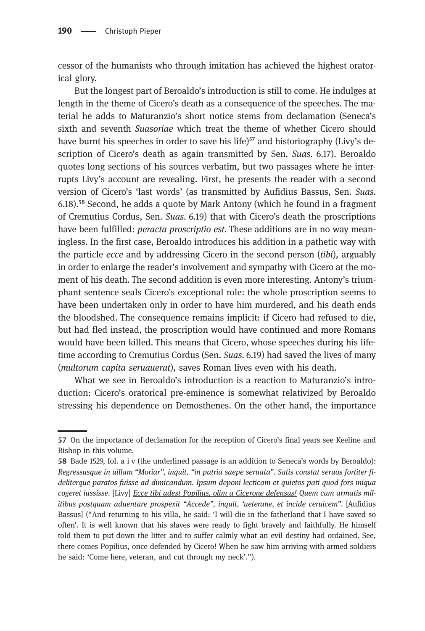cessor of the humanists who through imitation has achieved the highest oratorical glory.

But the longest part of Beroaldo's introduction is still to come. He indulges at length in the theme of Cicero's death as a consequence of the speeches. The material he adds to Maturanzio's short notice stems from declamation (Seneca's sixth and seventh *Suasoriae* which treat the theme of whether Cicero should have burnt his speeches in order to save his life) $57$  and historiography (Livy's description of Cicero's death as again transmitted by Sen. Suas. 6.17). Beroaldo quotes long sections of his sources verbatim, but two passages where he interrupts Livy's account are revealing. First, he presents the reader with a second version of Cicero's 'last words' (as transmitted by Aufidius Bassus, Sen. Suas. 6.18).⁵⁸ Second, he adds a quote by Mark Antony (which he found in a fragment of Cremutius Cordus, Sen. Suas. 6.19) that with Cicero's death the proscriptions have been fulfilled: *peracta proscriptio est*. These additions are in no way meaningless. In the first case, Beroaldo introduces his addition in a pathetic way with the particle ecce and by addressing Cicero in the second person (tibi), arguably in order to enlarge the reader's involvement and sympathy with Cicero at the moment of his death. The second addition is even more interesting. Antony's triumphant sentence seals Cicero's exceptional role: the whole proscription seems to have been undertaken only in order to have him murdered, and his death ends the bloodshed. The consequence remains implicit: if Cicero had refused to die, but had fled instead, the proscription would have continued and more Romans would have been killed. This means that Cicero, whose speeches during his lifetime according to Cremutius Cordus (Sen. Suas. 6.19) had saved the lives of many (multorum capita seruauerat), saves Roman lives even with his death.

What we see in Beroaldo's introduction is a reaction to Maturanzio's introduction: Cicero's oratorical pre-eminence is somewhat relativized by Beroaldo stressing his dependence on Demosthenes. On the other hand, the importance

<sup>57</sup> On the importance of declamation for the reception of Cicero's final years see Keeline and Bishop in this volume.

<sup>58</sup> Bade 1529, fol. a i v (the underlined passage is an addition to Seneca's words by Beroaldo): Regressusque in uillam "Moriar", inquit, "in patria saepe seruata". Satis constat seruos fortiter fideliterque paratos fuisse ad dimicandum. Ipsum deponi lecticam et quietos pati quod fors iniqua cogeret iussisse. [Livy] Ecce tibi adest Popilius, olim a Cicerone defensus! Quem cum armatis militibus postquam aduentare prospexit "Accede", inquit, 'ueterane, et incide ceruicem". [Aufidius Bassus] ("And returning to his villa, he said: 'I will die in the fatherland that I have saved so often'. It is well known that his slaves were ready to fight bravely and faithfully. He himself told them to put down the litter and to suffer calmly what an evil destiny had ordained. See, there comes Popilius, once defended by Cicero! When he saw him arriving with armed soldiers he said: 'Come here, veteran, and cut through my neck'.").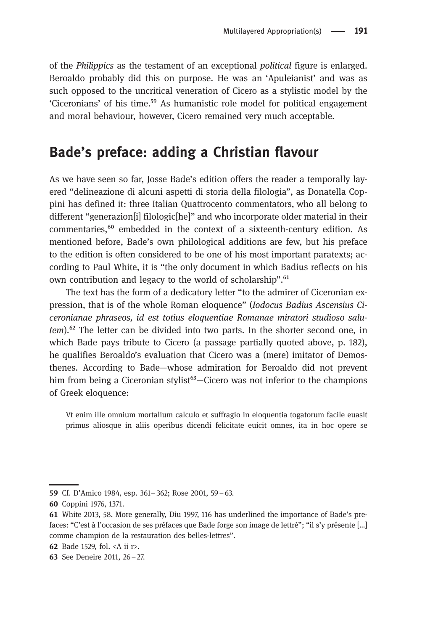of the Philippics as the testament of an exceptional political figure is enlarged. Beroaldo probably did this on purpose. He was an 'Apuleianist' and was as such opposed to the uncritical veneration of Cicero as a stylistic model by the 'Ciceronians' of his time.⁵⁹ As humanistic role model for political engagement and moral behaviour, however, Cicero remained very much acceptable.

#### Bade's preface: adding a Christian flavour

As we have seen so far, Josse Bade's edition offers the reader a temporally layered "delineazione di alcuni aspetti di storia della filologia", as Donatella Coppini has defined it: three Italian Quattrocento commentators, who all belong to different "generazion[i] filologic[he]" and who incorporate older material in their commentaries,<sup>60</sup> embedded in the context of a sixteenth-century edition. As mentioned before, Bade's own philological additions are few, but his preface to the edition is often considered to be one of his most important paratexts; according to Paul White, it is "the only document in which Badius reflects on his own contribution and legacy to the world of scholarship".<sup>61</sup>

The text has the form of a dedicatory letter "to the admirer of Ciceronian expression, that is of the whole Roman eloquence" (Iodocus Badius Ascensius Ciceronianae phraseos, id est totius eloquentiae Romanae miratori studioso salutem).<sup>62</sup> The letter can be divided into two parts. In the shorter second one, in which Bade pays tribute to Cicero (a passage partially quoted above, p. 182), he qualifies Beroaldo's evaluation that Cicero was a (mere) imitator of Demosthenes. According to Bade—whose admiration for Beroaldo did not prevent him from being a Ciceronian stylist<sup>63</sup>—Cicero was not inferior to the champions of Greek eloquence:

Vt enim ille omnium mortalium calculo et suffragio in eloquentia togatorum facile euasit primus aliosque in aliis operibus dicendi felicitate euicit omnes, ita in hoc opere se

<sup>59</sup> Cf. D'Amico 1984, esp. 361-362; Rose 2001, 59-63.

<sup>60</sup> Coppini 1976, 1371.

White 2013, 58. More generally, Diu 1997, 116 has underlined the importance of Bade's prefaces: "C'est à l'occasion de ses préfaces que Bade forge son image de lettré"; "il s'y présente […] comme champion de la restauration des belles-lettres".

Bade 1529, fol. <A ii r>.

<sup>63</sup> See Deneire 2011,  $26 - 27$ .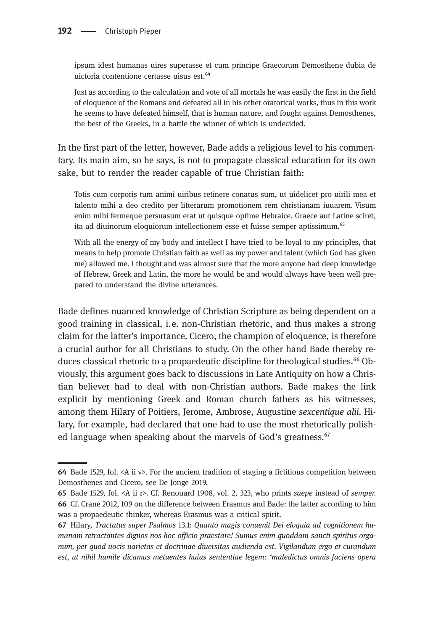ipsum idest humanas uires superasse et cum principe Graecorum Demosthene dubia de uictoria contentione certasse uisus est.<sup>64</sup>

Just as according to the calculation and vote of all mortals he was easily the first in the field of eloquence of the Romans and defeated all in his other oratorical works, thus in this work he seems to have defeated himself, that is human nature, and fought against Demosthenes, the best of the Greeks, in a battle the winner of which is undecided.

In the first part of the letter, however, Bade adds a religious level to his commentary. Its main aim, so he says, is not to propagate classical education for its own sake, but to render the reader capable of true Christian faith:

Totis cum corporis tum animi uiribus retinere conatus sum, ut uidelicet pro uirili mea et talento mihi a deo credito per litterarum promotionem rem christianam iuuarem. Visum enim mihi fermeque persuasum erat ut quisque optime Hebraice, Graece aut Latine sciret, ita ad diuinorum eloquiorum intellectionem esse et fuisse semper aptissimum.<sup>65</sup>

With all the energy of my body and intellect I have tried to be loyal to my principles, that means to help promote Christian faith as well as my power and talent (which God has given me) allowed me. I thought and was almost sure that the more anyone had deep knowledge of Hebrew, Greek and Latin, the more he would be and would always have been well prepared to understand the divine utterances.

Bade defines nuanced knowledge of Christian Scripture as being dependent on a good training in classical, i.e. non-Christian rhetoric, and thus makes a strong claim for the latter's importance. Cicero, the champion of eloquence, is therefore a crucial author for all Christians to study. On the other hand Bade thereby reduces classical rhetoric to a propaedeutic discipline for theological studies.<sup>66</sup> Obviously, this argument goes back to discussions in Late Antiquity on how a Christian believer had to deal with non-Christian authors. Bade makes the link explicit by mentioning Greek and Roman church fathers as his witnesses, among them Hilary of Poitiers, Jerome, Ambrose, Augustine sexcentique alii. Hilary, for example, had declared that one had to use the most rhetorically polished language when speaking about the marvels of God's greatness.<sup>67</sup>

<sup>64</sup> Bade 1529, fol.  $\langle A \rangle$  ii v>. For the ancient tradition of staging a fictitious competition between Demosthenes and Cicero, see De Jonge 2019.

<sup>65</sup> Bade 1529, fol.  $\langle A \rangle$  ii r>. Cf. Renouard 1908, vol. 2, 323, who prints saepe instead of semper. Cf. Crane 2012, 109 on the difference between Erasmus and Bade: the latter according to him was a propaedeutic thinker, whereas Erasmus was a critical spirit.

Hilary, Tractatus super Psalmos 13.1: Quanto magis conuenit Dei eloquia ad cognitionem humanam retractantes dignos nos hoc officio praestare! Sumus enim quoddam sancti spiritus organum, per quod uocis uarietas et doctrinae diuersitas audienda est. Vigilandum ergo et curandum est, ut nihil humile dicamus metuentes huius sententiae legem: 'maledictus omnis faciens opera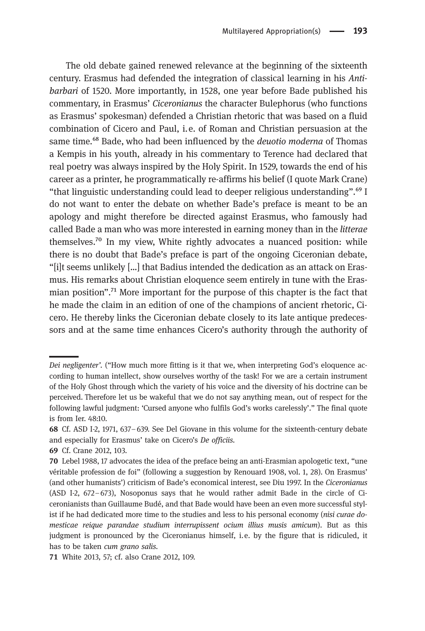The old debate gained renewed relevance at the beginning of the sixteenth century. Erasmus had defended the integration of classical learning in his Antibarbari of 1520. More importantly, in 1528, one year before Bade published his commentary, in Erasmus' Ciceronianus the character Bulephorus (who functions as Erasmus' spokesman) defended a Christian rhetoric that was based on a fluid combination of Cicero and Paul, i.e. of Roman and Christian persuasion at the same time.<sup>68</sup> Bade, who had been influenced by the *deuotio moderna* of Thomas a Kempis in his youth, already in his commentary to Terence had declared that real poetry was always inspired by the Holy Spirit. In 1529, towards the end of his career as a printer, he programmatically re-affirms his belief (I quote Mark Crane) "that linguistic understanding could lead to deeper religious understanding".<sup>69</sup> I do not want to enter the debate on whether Bade's preface is meant to be an apology and might therefore be directed against Erasmus, who famously had called Bade a man who was more interested in earning money than in the litterae themselves.<sup>70</sup> In my view, White rightly advocates a nuanced position: while there is no doubt that Bade's preface is part of the ongoing Ciceronian debate, "[i]t seems unlikely […] that Badius intended the dedication as an attack on Erasmus. His remarks about Christian eloquence seem entirely in tune with the Erasmian position".<sup>71</sup> More important for the purpose of this chapter is the fact that he made the claim in an edition of one of the champions of ancient rhetoric, Cicero. He thereby links the Ciceronian debate closely to its late antique predecessors and at the same time enhances Cicero's authority through the authority of

Dei negligenter'. ("How much more fitting is it that we, when interpreting God's eloquence according to human intellect, show ourselves worthy of the task! For we are a certain instrument of the Holy Ghost through which the variety of his voice and the diversity of his doctrine can be perceived. Therefore let us be wakeful that we do not say anything mean, out of respect for the following lawful judgment: 'Cursed anyone who fulfils God's works carelessly'." The final quote is from Ier. 48:10.

Cf. ASD I-2, 1971, 637–639. See Del Giovane in this volume for the sixteenth-century debate and especially for Erasmus' take on Cicero's De officiis.

<sup>69</sup> Cf. Crane 2012, 103.

Lebel 1988, 17 advocates the idea of the preface being an anti-Erasmian apologetic text, "une véritable profession de foi" (following a suggestion by Renouard 1908, vol. 1, 28). On Erasmus' (and other humanists') criticism of Bade's economical interest, see Diu 1997. In the Ciceronianus (ASD I-2, 672–673), Nosoponus says that he would rather admit Bade in the circle of Ciceronianists than Guillaume Budé, and that Bade would have been an even more successful stylist if he had dedicated more time to the studies and less to his personal economy (nisi curae domesticae reique parandae studium interrupissent ocium illius musis amicum). But as this judgment is pronounced by the Ciceronianus himself, i.e. by the figure that is ridiculed, it has to be taken cum grano salis.

White 2013, 57; cf. also Crane 2012, 109.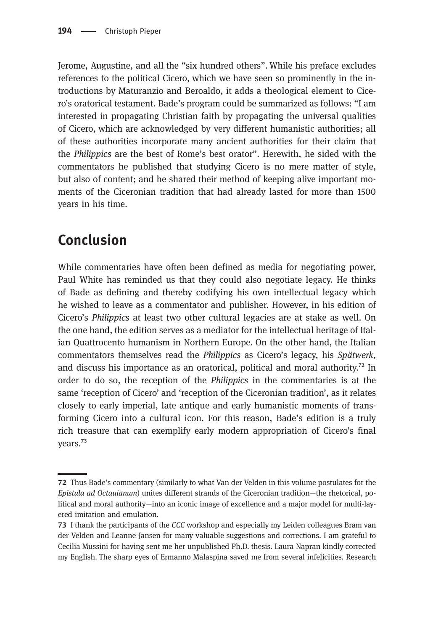Jerome, Augustine, and all the "six hundred others". While his preface excludes references to the political Cicero, which we have seen so prominently in the introductions by Maturanzio and Beroaldo, it adds a theological element to Cicero's oratorical testament. Bade's program could be summarized as follows: "I am interested in propagating Christian faith by propagating the universal qualities of Cicero, which are acknowledged by very different humanistic authorities; all of these authorities incorporate many ancient authorities for their claim that the Philippics are the best of Rome's best orator". Herewith, he sided with the commentators he published that studying Cicero is no mere matter of style, but also of content; and he shared their method of keeping alive important moments of the Ciceronian tradition that had already lasted for more than 1500 years in his time.

#### Conclusion

While commentaries have often been defined as media for negotiating power, Paul White has reminded us that they could also negotiate legacy. He thinks of Bade as defining and thereby codifying his own intellectual legacy which he wished to leave as a commentator and publisher. However, in his edition of Cicero's Philippics at least two other cultural legacies are at stake as well. On the one hand, the edition serves as a mediator for the intellectual heritage of Italian Quattrocento humanism in Northern Europe. On the other hand, the Italian commentators themselves read the Philippics as Cicero's legacy, his Spätwerk, and discuss his importance as an oratorical, political and moral authority.<sup> $72$ </sup> In order to do so, the reception of the Philippics in the commentaries is at the same 'reception of Cicero' and 'reception of the Ciceronian tradition', as it relates closely to early imperial, late antique and early humanistic moments of transforming Cicero into a cultural icon. For this reason, Bade's edition is a truly rich treasure that can exemplify early modern appropriation of Cicero's final vears.<sup>73</sup>

Thus Bade's commentary (similarly to what Van der Velden in this volume postulates for the Epistula ad Octauianum) unites different strands of the Ciceronian tradition—the rhetorical, political and moral authority—into an iconic image of excellence and a major model for multi-layered imitation and emulation.

I thank the participants of the CCC workshop and especially my Leiden colleagues Bram van der Velden and Leanne Jansen for many valuable suggestions and corrections. I am grateful to Cecilia Mussini for having sent me her unpublished Ph.D. thesis. Laura Napran kindly corrected my English. The sharp eyes of Ermanno Malaspina saved me from several infelicities. Research